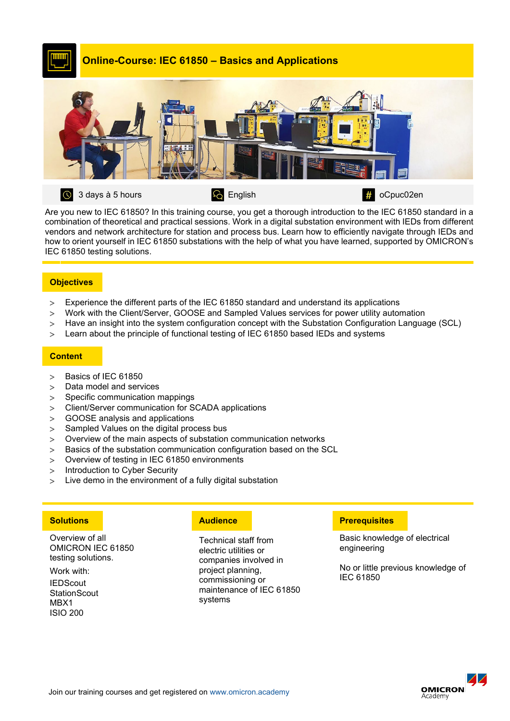

Are you new to IEC 61850? In this training course, you get a thorough introduction to the IEC 61850 standard in a combination of theoretical and practical sessions. Work in a digital substation environment with IEDs from different vendors and network architecture for station and process bus. Learn how to efficiently navigate through IEDs and how to orient yourself in IEC 61850 substations with the help of what you have learned, supported by OMICRON's IEC 61850 testing solutions.

### **Objectives**

- > Experience the different parts of the IEC 61850 standard and understand its applications
- > Work with the Client/Server, GOOSE and Sampled Values services for power utility automation
- > Have an insight into the system configuration concept with the Substation Configuration Language (SCL)
- > Learn about the principle of functional testing of IEC 61850 based IEDs and systems

#### **Content**

- > Basics of IEC 61850
- > Data model and services
- > Specific communication mappings
- > Client/Server communication for SCADA applications
- > GOOSE analysis and applications
- > Sampled Values on the digital process bus
- > Overview of the main aspects of substation communication networks
- > Basics of the substation communication configuration based on the SCL
- > Overview of testing in IEC 61850 environments
- > Introduction to Cyber Security
- > Live demo in the environment of a fully digital substation

Overview of all OMICRON IEC 61850 testing solutions.

Work with:

**IEDScout StationScout** MBX1 ISIO 200

Technical staff from electric utilities or companies involved in project planning, commissioning or maintenance of IEC 61850 systems

# **Solutions Audience Prerequisites**

Basic knowledge of electrical engineering

No or little previous knowledge of IEC 61850